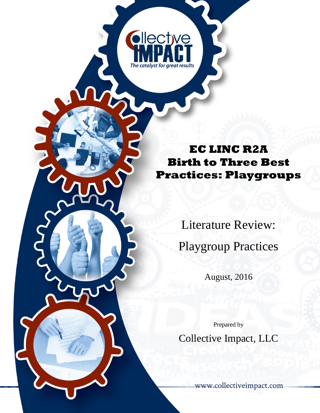# **EC LINC R2A Birth to Three Best Practices: Playgroups**

**Ollective** 

The catalyst for areat results

Literature Review: Playgroup Practices

August, 2016

Prepared by

Collective Impact, LLC

[www.collectiveimpact.com](http://www.collectiveimpact.com/about.php)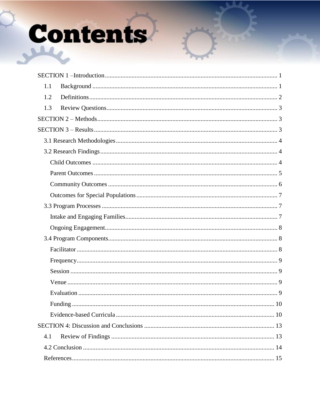# Contents

| 1.1 |
|-----|
| 1.2 |
| 1.3 |
|     |
|     |
|     |
|     |
|     |
|     |
|     |
|     |
|     |
|     |
|     |
|     |
|     |
|     |
|     |
|     |
|     |
|     |
|     |
|     |
| 4.1 |
|     |
|     |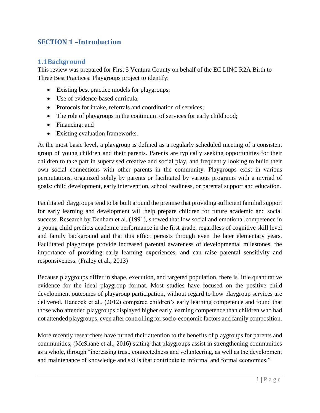# <span id="page-2-0"></span>**SECTION 1 –Introduction**

#### <span id="page-2-1"></span>**1.1Background**

This review was prepared for First 5 Ventura County on behalf of the EC LINC R2A Birth to Three Best Practices: Playgroups project to identify:

- Existing best practice models for playgroups;
- Use of evidence-based curricula:
- Protocols for intake, referrals and coordination of services;
- The role of playgroups in the continuum of services for early childhood;
- Financing; and
- Existing evaluation frameworks.

At the most basic level, a playgroup is defined as a regularly scheduled meeting of a consistent group of young children and their parents. Parents are typically seeking opportunities for their children to take part in supervised creative and social play, and frequently looking to build their own social connections with other parents in the community. Playgroups exist in various permutations, organized solely by parents or facilitated by various programs with a myriad of goals: child development, early intervention, school readiness, or parental support and education.

Facilitated playgroups tend to be built around the premise that providing sufficient familial support for early learning and development will help prepare children for future academic and social success. Research by Denham et al. (1991), showed that low social and emotional competence in a young child predicts academic performance in the first grade, regardless of cognitive skill level and family background and that this effect persists through even the later elementary years. Facilitated playgroups provide increased parental awareness of developmental milestones, the importance of providing early learning experiences, and can raise parental sensitivity and responsiveness. (Fraley et al., 2013)

Because playgroups differ in shape, execution, and targeted population, there is little quantitative evidence for the ideal playgroup format. Most studies have focused on the positive child development outcomes of playgroup participation, without regard to how playgroup services are delivered. Hancock et al., (2012) compared children's early learning competence and found that those who attended playgroups displayed higher early learning competence than children who had not attended playgroups, even after controlling for socio-economic factors and family composition.

More recently researchers have turned their attention to the benefits of playgroups for parents and communities, (McShane et al., 2016) stating that playgroups assist in strengthening communities as a whole, through "increasing trust, connectedness and volunteering, as well as the development and maintenance of knowledge and skills that contribute to informal and formal economies."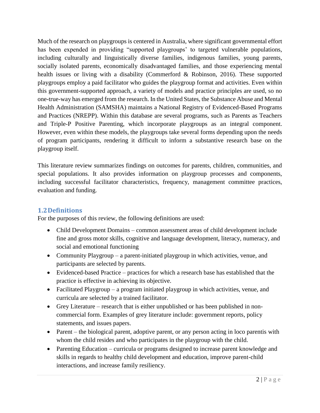Much of the research on playgroups is centered in Australia, where significant governmental effort has been expended in providing "supported playgroups' to targeted vulnerable populations, including culturally and linguistically diverse families, indigenous families, young parents, socially isolated parents, economically disadvantaged families, and those experiencing mental health issues or living with a disability (Commerford & Robinson, 2016). These supported playgroups employ a paid facilitator who guides the playgroup format and activities. Even within this government-supported approach, a variety of models and practice principles are used, so no one-true-way has emerged from the research. In the United States, the Substance Abuse and Mental Health Administration (SAMSHA) maintains a National Registry of Evidenced-Based Programs and Practices (NREPP). Within this database are several programs, such as Parents as Teachers and Triple-P Positive Parenting, which incorporate playgroups as an integral component. However, even within these models, the playgroups take several forms depending upon the needs of program participants, rendering it difficult to inform a substantive research base on the playgroup itself.

This literature review summarizes findings on outcomes for parents, children, communities, and special populations. It also provides information on playgroup processes and components, including successful facilitator characteristics, frequency, management committee practices, evaluation and funding.

#### <span id="page-3-0"></span>**1.2Definitions**

For the purposes of this review, the following definitions are used:

- Child Development Domains common assessment areas of child development include fine and gross motor skills, cognitive and language development, literacy, numeracy, and social and emotional functioning
- Community Playgroup a parent-initiated playgroup in which activities, venue, and participants are selected by parents.
- Evidenced-based Practice practices for which a research base has established that the practice is effective in achieving its objective.
- Facilitated Playgroup a program initiated playgroup in which activities, venue, and curricula are selected by a trained facilitator.
- Grey Literature research that is either unpublished or has been published in noncommercial form. Examples of grey literature include: government reports, policy statements, and issues papers.
- Parent the biological parent, adoptive parent, or any person acting in loco parentis with whom the child resides and who participates in the playgroup with the child.
- Parenting Education curricula or programs designed to increase parent knowledge and skills in regards to healthy child development and education, improve parent-child interactions, and increase family resiliency.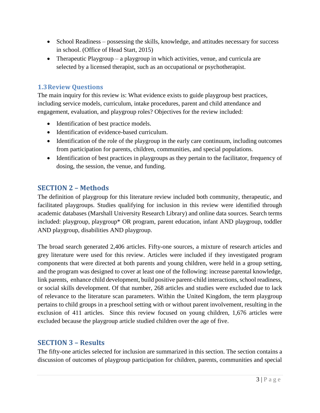- School Readiness possessing the skills, knowledge, and attitudes necessary for success in school. (Office of Head Start, 2015)
- Therapeutic Playgroup a playgroup in which activities, venue, and curricula are selected by a licensed therapist, such as an occupational or psychotherapist.

## <span id="page-4-0"></span>**1.3Review Questions**

The main inquiry for this review is: What evidence exists to guide playgroup best practices, including service models, curriculum, intake procedures, parent and child attendance and engagement, evaluation, and playgroup roles? Objectives for the review included:

- Identification of best practice models.
- Identification of evidence-based curriculum.
- Identification of the role of the playgroup in the early care continuum, including outcomes from participation for parents, children, communities, and special populations.
- Identification of best practices in playgroups as they pertain to the facilitator, frequency of dosing, the session, the venue, and funding.

# <span id="page-4-1"></span>**SECTION 2 – Methods**

The definition of playgroup for this literature review included both community, therapeutic, and facilitated playgroups. Studies qualifying for inclusion in this review were identified through academic databases (Marshall University Research Library) and online data sources. Search terms included: playgroup, playgroup\* OR program, parent education, infant AND playgroup, toddler AND playgroup, disabilities AND playgroup.

The broad search generated 2,406 articles. Fifty-one sources, a mixture of research articles and grey literature were used for this review. Articles were included if they investigated program components that were directed at both parents and young children, were held in a group setting, and the program was designed to cover at least one of the following: increase parental knowledge, link parents, enhance child development, build positive parent-child interactions, school readiness, or social skills development. Of that number, 268 articles and studies were excluded due to lack of relevance to the literature scan parameters. Within the United Kingdom, the term playgroup pertains to child groups in a preschool setting with or without parent involvement, resulting in the exclusion of 411 articles. Since this review focused on young children, 1,676 articles were excluded because the playgroup article studied children over the age of five.

#### <span id="page-4-2"></span>**SECTION 3 – Results**

The fifty-one articles selected for inclusion are summarized in this section. The section contains a discussion of outcomes of playgroup participation for children, parents, communities and special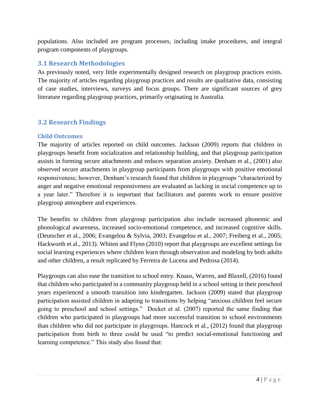populations. Also included are program processes, including intake procedures, and integral program components of playgroups.

## <span id="page-5-0"></span>**3.1 Research Methodologies**

As previously noted, very little experimentally designed research on playgroup practices exists. The majority of articles regarding playgroup practices and results are qualitative data, consisting of case studies, interviews, surveys and focus groups. There are significant sources of grey literature regarding playgroup practices, primarily originating in Australia.

# <span id="page-5-1"></span>**3.2 Research Findings**

#### <span id="page-5-2"></span>**Child Outcomes**

The majority of articles reported on child outcomes. Jackson (2009) reports that children in playgroups benefit from socialization and relationship building, and that playgroup participation assists in forming secure attachments and reduces separation anxiety. Denham et al., (2001) also observed secure attachments in playgroup participants from playgroups with positive emotional responsiveness; however, Denham's research found that children in playgroups "characterized by anger and negative emotional responsiveness are evaluated as lacking in social competence up to a year later." Therefore it is important that facilitators and parents work to ensure positive playgroup atmosphere and experiences.

The benefits to children from playgroup participation also include increased phonemic and phonological awareness, increased socio-emotional competence, and increased cognitive skills. (Deutscher et al., 2006; Evangelou & Sylvia, 2003; Evangelou et al., 2007; Freiberg et al., 2005; Hackworth et al., 2013). Whiten and Flynn (2010) report that playgroups are excellent settings for social learning experiences where children learn through observation and modeling by both adults and other children, a result replicated by Ferreira de Lucena and Pedrosa (2014).

Playgroups can also ease the transition to school entry. Knaus, Warren, and Blaxell, (2016) found that children who participated in a community playgroup held in a school setting in their preschool years experienced a smooth transition into kindergarten. Jackson (2009) stated that playgroup participation assisted children in adapting to transitions by helping "anxious children feel secure going to preschool and school settings." Docket et al. (2007) reported the same finding that children who participated in playgroups had more successful transition to school environments than children who did not participate in playgroups. Hancock et al., (2012) found that playgroup participation from birth to three could be used "to predict social-emotional functioning and learning competence." This study also found that: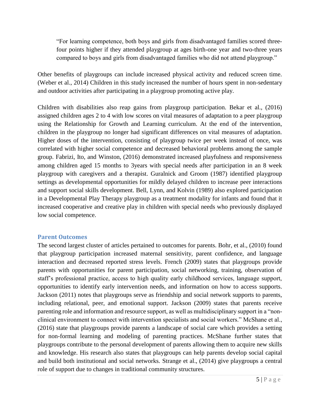"For learning competence, both boys and girls from disadvantaged families scored threefour points higher if they attended playgroup at ages birth-one year and two-three years compared to boys and girls from disadvantaged families who did not attend playgroup."

Other benefits of playgroups can include increased physical activity and reduced screen time. (Weber et al., 2014) Children in this study increased the number of hours spent in non-sedentary and outdoor activities after participating in a playgroup promoting active play.

Children with disabilities also reap gains from playgroup participation. Bekar et al., (2016) assigned children ages 2 to 4 with low scores on vital measures of adaptation to a peer playgroup using the Relationship for Growth and Learning curriculum. At the end of the intervention, children in the playgroup no longer had significant differences on vital measures of adaptation. Higher doses of the intervention, consisting of playgroup twice per week instead of once, was correlated with higher social competence and decreased behavioral problems among the sample group. Fabrizi, Ito, and Winston, (2016) demonstrated increased playfulness and responsiveness among children aged 15 months to 3years with special needs after participation in an 8 week playgroup with caregivers and a therapist. Guralnick and Groom (1987) identified playgroup settings as developmental opportunities for mildly delayed children to increase peer interactions and support social skills development. Bell, Lynn, and Kolvin (1989) also explored participation in a Developmental Play Therapy playgroup as a treatment modality for infants and found that it increased cooperative and creative play in children with special needs who previously displayed low social competence.

#### <span id="page-6-0"></span>**Parent Outcomes**

The second largest cluster of articles pertained to outcomes for parents. Bohr, et al., (2010) found that playgroup participation increased maternal sensitivity, parent confidence, and language interaction and decreased reported stress levels. French (2009) states that playgroups provide parents with opportunities for parent participation, social networking, training, observation of staff's professional practice, access to high quality early childhood services, language support, opportunities to identify early intervention needs, and information on how to access supports. Jackson (2011) notes that playgroups serve as friendship and social network supports to parents, including relational, peer, and emotional support. Jackson (2009) states that parents receive parenting role and information and resource support, as well as multidisciplinary support in a "nonclinical environment to connect with intervention specialists and social workers." McShane et al., (2016) state that playgroups provide parents a landscape of social care which provides a setting for non-formal learning and modeling of parenting practices. McShane further states that playgroups contribute to the personal development of parents allowing them to acquire new skills and knowledge. His research also states that playgroups can help parents develop social capital and build both institutional and social networks. Strange et al., (2014) give playgroups a central role of support due to changes in traditional community structures.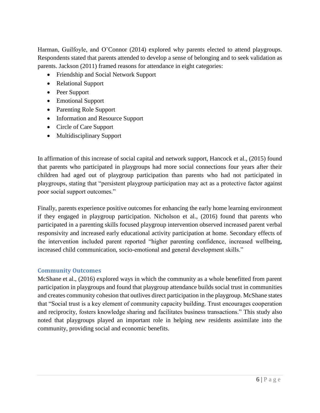Harman, Guilfoyle, and O'Connor (2014) explored why parents elected to attend playgroups. Respondents stated that parents attended to develop a sense of belonging and to seek validation as parents. Jackson (2011) framed reasons for attendance in eight categories:

- Friendship and Social Network Support
- Relational Support
- Peer Support
- Emotional Support
- Parenting Role Support
- Information and Resource Support
- Circle of Care Support
- Multidisciplinary Support

In affirmation of this increase of social capital and network support, Hancock et al., (2015) found that parents who participated in playgroups had more social connections four years after their children had aged out of playgroup participation than parents who had not participated in playgroups, stating that "persistent playgroup participation may act as a protective factor against poor social support outcomes."

Finally, parents experience positive outcomes for enhancing the early home learning environment if they engaged in playgroup participation. Nicholson et al., (2016) found that parents who participated in a parenting skills focused playgroup intervention observed increased parent verbal responsivity and increased early educational activity participation at home. Secondary effects of the intervention included parent reported "higher parenting confidence, increased wellbeing, increased child communication, socio-emotional and general development skills."

#### <span id="page-7-0"></span>**Community Outcomes**

McShane et al., (2016) explored ways in which the community as a whole benefitted from parent participation in playgroups and found that playgroup attendance builds social trust in communities and creates community cohesion that outlives direct participation in the playgroup. McShane states that "Social trust is a key element of community capacity building. Trust encourages cooperation and reciprocity, fosters knowledge sharing and facilitates business transactions." This study also noted that playgroups played an important role in helping new residents assimilate into the community, providing social and economic benefits.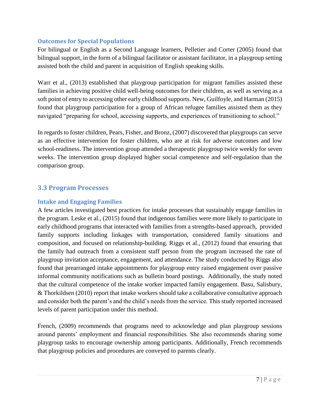#### <span id="page-8-0"></span>**Outcomes for Special Populations**

For bilingual or English as a Second Language learners, Pelletier and Corter (2005) found that bilingual support, in the form of a bilingual facilitator or assistant facilitator, in a playgroup setting assisted both the child and parent in acquisition of English speaking skills.

Warr et al., (2013) established that playgroup participation for migrant families assisted these families in achieving positive child well-being outcomes for their children, as well as serving as a soft point of entry to accessing other early childhood supports. New, Guilfoyle, and Harman (2015) found that playgroup participation for a group of African refugee families assisted them as they navigated "preparing for school, accessing supports, and experiences of transitioning to school."

In regards to foster children, Pears, Fisher, and Bronz, (2007) discovered that playgroups can serve as an effective intervention for foster children, who are at risk for adverse outcomes and low school-readiness. The intervention group attended a therapeutic playgroup twice weekly for seven weeks. The intervention group displayed higher social competence and self-regulation than the comparison group.

# <span id="page-8-1"></span>**3.3 Program Processes**

#### <span id="page-8-2"></span>**Intake and Engaging Families**

A few articles investigated best practices for intake processes that sustainably engage families in the program. Leske et al., (2015) found that indigenous families were more likely to participate in early childhood programs that interacted with families from a strengths-based approach, provided family supports including linkages with transportation, considered family situations and composition, and focused on relationship-building. Riggs et al., (2012) found that ensuring that the family had outreach from a consistent staff person from the program increased the rate of playgroup invitation acceptance, engagement, and attendance. The study conducted by Riggs also found that prearranged intake appointments for playgroup entry raised engagement over passive informal community notifications such as bulletin board postings. Additionally, the study noted that the cultural competence of the intake worker impacted family engagement. Basu, Salisbury, & Thorkildsen (2010) report that intake workers should take a collaborative consultative approach and consider both the parent's and the child's needs from the service. This study reported increased levels of parent participation under this method.

French, (2009) recommends that programs need to acknowledge and plan playgroup sessions around parents' employment and financial responsibilities. She also recommends sharing some playgroup tasks to encourage ownership among participants. Additionally, French recommends that playgroup policies and procedures are conveyed to parents clearly.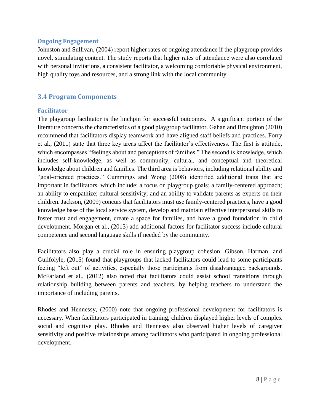#### <span id="page-9-0"></span>**Ongoing Engagement**

Johnston and Sullivan, (2004) report higher rates of ongoing attendance if the playgroup provides novel, stimulating content. The study reports that higher rates of attendance were also correlated with personal invitations, a consistent facilitator, a welcoming comfortable physical environment, high quality toys and resources, and a strong link with the local community.

# <span id="page-9-1"></span>**3.4 Program Components**

#### <span id="page-9-2"></span>**Facilitator**

The playgroup facilitator is the linchpin for successful outcomes. A significant portion of the literature concerns the characteristics of a good playgroup facilitator. Gahan and Broughton (2010) recommend that facilitators display teamwork and have aligned staff beliefs and practices. Forry et al., (2011) state that three key areas affect the facilitator's effectiveness. The first is attitude, which encompasses "feelings about and perceptions of families." The second is knowledge, which includes self-knowledge, as well as community, cultural, and conceptual and theoretical knowledge about children and families. The third area is behaviors, including relational ability and "goal-oriented practices." Cummings and Wong (2008) identified additional traits that are important in facilitators, which include: a focus on playgroup goals; a family-centered approach; an ability to empathize; cultural sensitivity; and an ability to validate parents as experts on their children. Jackson, (2009) concurs that facilitators must use family-centered practices, have a good knowledge base of the local service system, develop and maintain effective interpersonal skills to foster trust and engagement, create a space for families, and have a good foundation in child development. Morgan et al., (2013) add additional factors for facilitator success include cultural competence and second language skills if needed by the community.

Facilitators also play a crucial role in ensuring playgroup cohesion. Gibson, Harman, and Guilfolyle, (2015) found that playgroups that lacked facilitators could lead to some participants feeling "left out" of activities, especially those participants from disadvantaged backgrounds. McFarland et al., (2012) also noted that facilitators could assist school transitions through relationship building between parents and teachers, by helping teachers to understand the importance of including parents.

Rhodes and Hennessy, (2000) note that ongoing professional development for facilitators is necessary. When facilitators participated in training, children displayed higher levels of complex social and cognitive play. Rhodes and Hennessy also observed higher levels of caregiver sensitivity and positive relationships among facilitators who participated in ongoing professional development.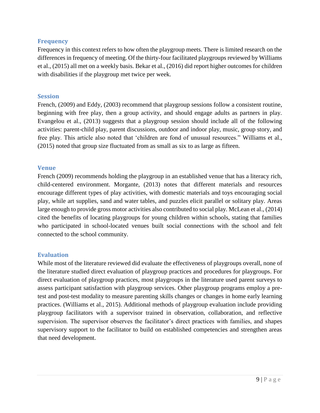#### <span id="page-10-0"></span>**Frequency**

Frequency in this context refers to how often the playgroup meets. There is limited research on the differences in frequency of meeting. Of the thirty-four facilitated playgroups reviewed by Williams et al., (2015) all met on a weekly basis. Bekar et al., (2016) did report higher outcomes for children with disabilities if the playgroup met twice per week.

#### <span id="page-10-1"></span>**Session**

French, (2009) and Eddy, (2003) recommend that playgroup sessions follow a consistent routine, beginning with free play, then a group activity, and should engage adults as partners in play. Evangelou et al., (2013) suggests that a playgroup session should include all of the following activities: parent-child play, parent discussions, outdoor and indoor play, music, group story, and free play. This article also noted that 'children are fond of unusual resources." Williams et al., (2015) noted that group size fluctuated from as small as six to as large as fifteen.

#### <span id="page-10-2"></span>**Venue**

French (2009) recommends holding the playgroup in an established venue that has a literacy rich, child-centered environment. Morgante, (2013) notes that different materials and resources encourage different types of play activities, with domestic materials and toys encouraging social play, while art supplies, sand and water tables, and puzzles elicit parallel or solitary play. Areas large enough to provide gross motor activities also contributed to social play. McLean et al., (2014) cited the benefits of locating playgroups for young children within schools, stating that families who participated in school-located venues built social connections with the school and felt connected to the school community.

#### <span id="page-10-3"></span>**Evaluation**

While most of the literature reviewed did evaluate the effectiveness of playgroups overall, none of the literature studied direct evaluation of playgroup practices and procedures for playgroups. For direct evaluation of playgroup practices, most playgroups in the literature used parent surveys to assess participant satisfaction with playgroup services. Other playgroup programs employ a pretest and post-test modality to measure parenting skills changes or changes in home early learning practices. (Williams et al., 2015). Additional methods of playgroup evaluation include providing playgroup facilitators with a supervisor trained in observation, collaboration, and reflective supervision. The supervisor observes the facilitator's direct practices with families, and shapes supervisory support to the facilitator to build on established competencies and strengthen areas that need development.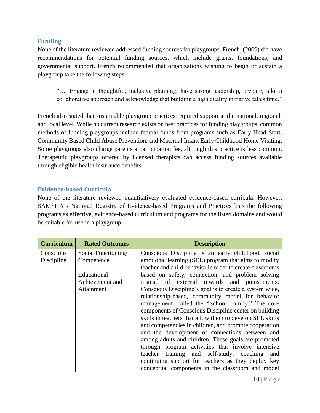#### <span id="page-11-0"></span>**Funding**

None of the literature reviewed addressed funding sources for playgroups. French, (2009) did have recommendations for potential funding sources, which include grants, foundations, and governmental support. French recommended that organizations wishing to begin or sustain a playgroup take the following steps:

"…. Engage in thoughtful, inclusive planning, have strong leadership, prepare, take a collaborative approach and acknowledge that building a high quality initiative takes time."

French also stated that sustainable playgroup practices required support at the national, regional, and local level. While no current research exists on best practices for funding playgroups, common methods of funding playgroups include federal funds from programs such as Early Head Start, Community Based Child Abuse Prevention, and Maternal Infant Early Childhood Home Visiting. Some playgroups also charge parents a participation fee, although this practice is less common. Therapeutic playgroups offered by licensed therapists can access funding sources available through eligible health insurance benefits.

#### <span id="page-11-1"></span>**Evidence-based Curricula**

None of the literature reviewed quantitatively evaluated evidence-based curricula. However, SAMSHA's National Registry of Evidence-based Programs and Practices lists the following programs as effective, evidence-based curriculum and programs for the listed domains and would be suitable for use in a playgroup:

| <b>Curriculum</b>       | <b>Rated Outcomes</b>                        | <b>Description</b>                                                                                                                                                                                                                                                                                                                                                                                                                                                                                                                                                                                                                                                                                                                                                            |
|-------------------------|----------------------------------------------|-------------------------------------------------------------------------------------------------------------------------------------------------------------------------------------------------------------------------------------------------------------------------------------------------------------------------------------------------------------------------------------------------------------------------------------------------------------------------------------------------------------------------------------------------------------------------------------------------------------------------------------------------------------------------------------------------------------------------------------------------------------------------------|
| Conscious<br>Discipline | Social Functioning/<br>Competence            | Conscious Discipline is an early childhood, social<br>emotional learning (SEL) program that aims to modify<br>teacher and child behavior in order to create classrooms                                                                                                                                                                                                                                                                                                                                                                                                                                                                                                                                                                                                        |
|                         | Educational<br>Achievement and<br>Attainment | based on safety, connection, and problem solving<br>instead of external rewards and punishments.<br>Conscious Discipline's goal is to create a system wide,<br>relationship-based, community model for behavior<br>management, called the "School Family." The core<br>components of Conscious Discipline center on building<br>skills in teachers that allow them to develop SEL skills<br>and competencies in children, and promote cooperation<br>and the development of connections between and<br>among adults and children. These goals are promoted<br>through program activities that involve intensive<br>teacher training and self-study; coaching<br>and<br>continuing support for teachers as they deploy key<br>conceptual components in the classroom and model |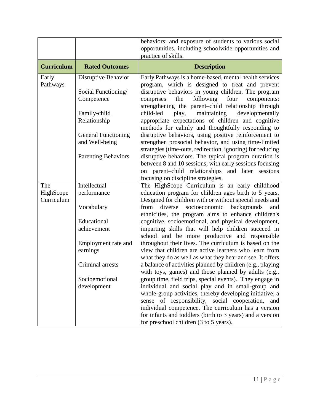|                         |                              | behaviors; and exposure of students to various social                                                             |
|-------------------------|------------------------------|-------------------------------------------------------------------------------------------------------------------|
|                         |                              | opportunities, including schoolwide opportunities and                                                             |
|                         |                              | practice of skills.                                                                                               |
| <b>Curriculum</b>       | <b>Rated Outcomes</b>        | <b>Description</b>                                                                                                |
| Early                   | Disruptive Behavior          | Early Pathways is a home-based, mental health services                                                            |
| Pathways                |                              | program, which is designed to treat and prevent                                                                   |
|                         | Social Functioning/          | disruptive behaviors in young children. The program                                                               |
|                         | Competence                   | following<br>comprises<br>the<br>four<br>components:                                                              |
|                         |                              | strengthening the parent-child relationship through<br>child-led<br>developmentally                               |
|                         | Family-child<br>Relationship | maintaining<br>play,<br>appropriate expectations of children and cognitive                                        |
|                         |                              | methods for calmly and thoughtfully responding to                                                                 |
|                         | <b>General Functioning</b>   | disruptive behaviors, using positive reinforcement to                                                             |
|                         | and Well-being               | strengthen prosocial behavior, and using time-limited                                                             |
|                         |                              | strategies (time-outs, redirection, ignoring) for reducing                                                        |
|                         | <b>Parenting Behaviors</b>   | disruptive behaviors. The typical program duration is                                                             |
|                         |                              | between 8 and 10 sessions, with early sessions focusing                                                           |
|                         |                              | on parent-child relationships and later sessions                                                                  |
|                         |                              | focusing on discipline strategies.                                                                                |
| The                     | Intellectual                 | The HighScope Curriculum is an early childhood                                                                    |
| HighScope<br>Curriculum | performance                  | education program for children ages birth to 5 years.                                                             |
|                         | Vocabulary                   | Designed for children with or without special needs and<br>socioeconomic<br>from<br>diverse<br>backgrounds<br>and |
|                         |                              | ethnicities, the program aims to enhance children's                                                               |
|                         | Educational                  | cognitive, socioemotional, and physical development,                                                              |
|                         | achievement                  | imparting skills that will help children succeed in                                                               |
|                         |                              | school and be more productive and responsible                                                                     |
|                         | Employment rate and          | throughout their lives. The curriculum is based on the                                                            |
|                         | earnings                     | view that children are active learners who learn from                                                             |
|                         |                              | what they do as well as what they hear and see. It offers                                                         |
|                         | Criminal arrests             | a balance of activities planned by children (e.g., playing                                                        |
|                         | Socioemotional               | with toys, games) and those planned by adults (e.g.,                                                              |
|                         | development                  | group time, field trips, special events) They engage in<br>individual and social play and in small-group and      |
|                         |                              | whole-group activities, thereby developing initiative, a                                                          |
|                         |                              | sense of responsibility, social cooperation, and                                                                  |
|                         |                              | individual competence. The curriculum has a version                                                               |
|                         |                              | for infants and toddlers (birth to 3 years) and a version                                                         |
|                         |                              | for preschool children (3 to 5 years).                                                                            |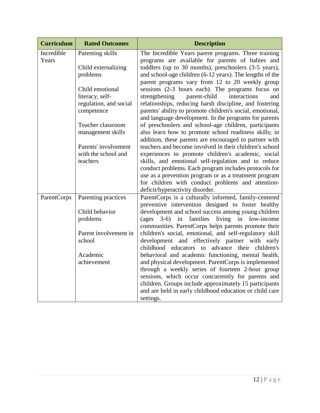| <b>Curriculum</b>   | <b>Rated Outcomes</b>  | <b>Description</b>                                                                                                 |
|---------------------|------------------------|--------------------------------------------------------------------------------------------------------------------|
| Incredible<br>Years | Parenting skills       | The Incredible Years parent programs. Three training<br>programs are available for parents of babies and           |
|                     | Child externalizing    | toddlers (up to 30 months), preschoolers (3-5 years),                                                              |
|                     | problems               | and school-age children (6-12 years). The lengths of the                                                           |
|                     | Child emotional        | parent programs vary from 12 to 20 weekly group<br>sessions (2-3 hours each). The programs focus on                |
|                     | literacy, self-        | strengthening<br>parent-child<br>interactions<br>and                                                               |
|                     | regulation, and social | relationships, reducing harsh discipline, and fostering                                                            |
|                     | competence             | parents' ability to promote children's social, emotional,<br>and language development. In the programs for parents |
|                     | Teacher classroom      | of preschoolers and school-age children, participants                                                              |
|                     | management skills      | also learn how to promote school readiness skills; in<br>addition, these parents are encouraged to partner with    |
|                     | Parents' involvement   | teachers and become involved in their children's school                                                            |
|                     | with the school and    | experiences to promote children's academic, social                                                                 |
|                     | teachers               | skills, and emotional self-regulation and to reduce                                                                |
|                     |                        | conduct problems. Each program includes protocols for                                                              |
|                     |                        | use as a prevention program or as a treatment program                                                              |
|                     |                        | for children with conduct problems and attention-<br>deficit/hyperactivity disorder.                               |
| ParentCorps         | Parenting practices    | ParentCorps is a culturally informed, family-centered                                                              |
|                     |                        | preventive intervention designed to foster healthy                                                                 |
|                     | Child behavior         | development and school success among young children                                                                |
|                     | problems               | living in low-income<br>$\frac{1}{2}$ (ages 3-6) in families                                                       |
|                     |                        | communities. ParentCorps helps parents promote their                                                               |
|                     | Parent involvement in  | children's social, emotional, and self-regulatory skill                                                            |
|                     | school                 | development and effectively partner with early<br>childhood educators to advance their children's                  |
|                     | Academic               | behavioral and academic functioning, mental health,                                                                |
|                     | achievement            | and physical development. ParentCorps is implemented                                                               |
|                     |                        | through a weekly series of fourteen 2-hour group                                                                   |
|                     |                        | sessions, which occur concurrently for parents and                                                                 |
|                     |                        | children. Groups include approximately 15 participants                                                             |
|                     |                        | and are held in early childhood education or child care<br>settings.                                               |
|                     |                        |                                                                                                                    |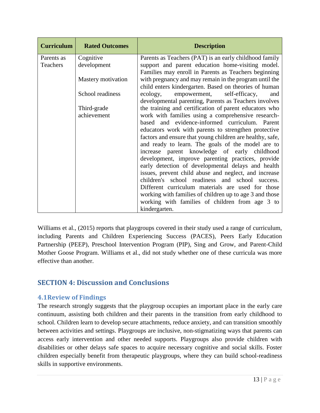| <b>Curriculum</b> | <b>Rated Outcomes</b> | <b>Description</b>                                                                                              |
|-------------------|-----------------------|-----------------------------------------------------------------------------------------------------------------|
| Parents as        | Cognitive             | Parents as Teachers (PAT) is an early childhood family                                                          |
| <b>Teachers</b>   | development           | support and parent education home-visiting model.<br>Families may enroll in Parents as Teachers beginning       |
|                   | Mastery motivation    | with pregnancy and may remain in the program until the<br>child enters kindergarten. Based on theories of human |
|                   | School readiness      | empowerment, self-efficacy,<br>ecology,<br>and<br>developmental parenting, Parents as Teachers involves         |
|                   | Third-grade           | the training and certification of parent educators who                                                          |
|                   | achievement           | work with families using a comprehensive research-                                                              |
|                   |                       | based and evidence-informed curriculum. Parent                                                                  |
|                   |                       | educators work with parents to strengthen protective                                                            |
|                   |                       | factors and ensure that young children are healthy, safe,                                                       |
|                   |                       | and ready to learn. The goals of the model are to                                                               |
|                   |                       | increase parent knowledge of early childhood                                                                    |
|                   |                       | development, improve parenting practices, provide                                                               |
|                   |                       | early detection of developmental delays and health<br>issues, prevent child abuse and neglect, and increase     |
|                   |                       | children's school readiness and school success.                                                                 |
|                   |                       | Different curriculum materials are used for those                                                               |
|                   |                       | working with families of children up to age 3 and those                                                         |
|                   |                       | working with families of children from age 3 to                                                                 |
|                   |                       | kindergarten.                                                                                                   |

Williams et al., (2015) reports that playgroups covered in their study used a range of curriculum, including Parents and Children Experiencing Success (PACES), Peers Early Education Partnership (PEEP), Preschool Intervention Program (PIP), Sing and Grow, and Parent-Child Mother Goose Program. Williams et al., did not study whether one of these curricula was more effective than another.

# <span id="page-14-0"></span>**SECTION 4: Discussion and Conclusions**

#### <span id="page-14-1"></span>**4.1Review of Findings**

The research strongly suggests that the playgroup occupies an important place in the early care continuum, assisting both children and their parents in the transition from early childhood to school. Children learn to develop secure attachments, reduce anxiety, and can transition smoothly between activities and settings. Playgroups are inclusive, non-stigmatizing ways that parents can access early intervention and other needed supports. Playgroups also provide children with disabilities or other delays safe spaces to acquire necessary cognitive and social skills. Foster children especially benefit from therapeutic playgroups, where they can build school-readiness skills in supportive environments.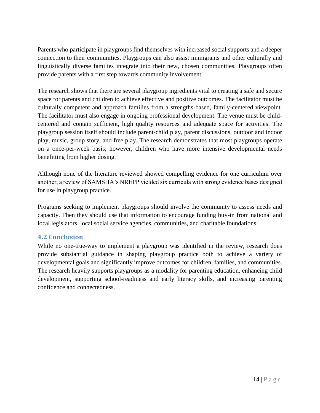Parents who participate in playgroups find themselves with increased social supports and a deeper connection to their communities. Playgroups can also assist immigrants and other culturally and linguistically diverse families integrate into their new, chosen communities. Playgroups often provide parents with a first step towards community involvement.

The research shows that there are several playgroup ingredients vital to creating a safe and secure space for parents and children to achieve effective and positive outcomes. The facilitator must be culturally competent and approach families from a strengths-based, family-centered viewpoint. The facilitator must also engage in ongoing professional development. The venue must be childcentered and contain sufficient, high quality resources and adequate space for activities. The playgroup session itself should include parent-child play, parent discussions, outdoor and indoor play, music, group story, and free play. The research demonstrates that most playgroups operate on a once-per-week basis; however, children who have more intensive developmental needs benefitting from higher dosing.

Although none of the literature reviewed showed compelling evidence for one curriculum over another, a review of SAMSHA's NREPP yielded six curricula with strong evidence bases designed for use in playgroup practice.

Programs seeking to implement playgroups should involve the community to assess needs and capacity. Then they should use that information to encourage funding buy-in from national and local legislators, local social service agencies, communities, and charitable foundations.

#### <span id="page-15-0"></span>**4.2 Conclusion**

While no one-true-way to implement a playgroup was identified in the review, research does provide substantial guidance in shaping playgroup practice both to achieve a variety of developmental goals and significantly improve outcomes for children, families, and communities. The research heavily supports playgroups as a modality for parenting education, enhancing child development, supporting school-readiness and early literacy skills, and increasing parenting confidence and connectedness.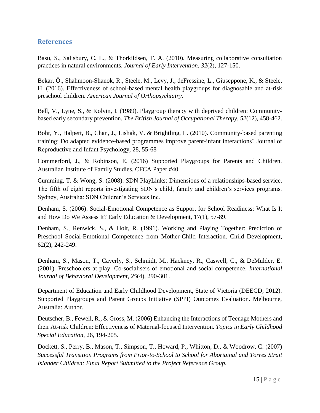#### <span id="page-16-0"></span>**References**

Basu, S., Salisbury, C. L., & Thorkildsen, T. A. (2010). Measuring collaborative consultation practices in natural environments. *Journal of Early Intervention, 32*(2), 127-150.

Bekar, Ö., Shahmoon-Shanok, R., Steele, M., Levy, J., deFressine, L., Giuseppone, K., & Steele, H. (2016). Effectiveness of school-based mental health playgroups for diagnosable and at-risk preschool children. *American Journal of Orthopsychiatry.*

Bell, V., Lyne, S., & Kolvin, I. (1989). Playgroup therapy with deprived children: Communitybased early secondary prevention. *The British Journal of Occupational Therapy, 52*(12), 458-462.

Bohr, Y., Halpert, B., Chan, J., Lishak, V. & Brightling, L. (2010). Community-based parenting training: Do adapted evidence-based programmes improve parent-infant interactions? Journal of Reproductive and Infant Psychology, 28, 55-68

Commerford, J., & Robinson, E. (2016) Supported Playgroups for Parents and Children. Australian Institute of Family Studies. CFCA Paper #40.

Cumming, T. & Wong, S. (2008). SDN PlayLinks: Dimensions of a relationships-based service. The fifth of eight reports investigating SDN's child, family and children's services programs. Sydney, Australia: SDN Children's Services Inc.

Denham, S. (2006). Social-Emotional Competence as Support for School Readiness: What Is It and How Do We Assess It? Early Education & Development, 17(1), 57-89.

Denham, S., Renwick, S., & Holt, R. (1991). Working and Playing Together: Prediction of Preschool Social-Emotional Competence from Mother-Child Interaction. Child Development, 62(2), 242-249.

Denham, S., Mason, T., Caverly, S., Schmidt, M., Hackney, R., Caswell, C., & DeMulder, E. (2001). Preschoolers at play: Co-socialisers of emotional and social competence. *International Journal of Behavioral Development, 25*(4), 290-301.

Department of Education and Early Childhood Development, State of Victoria (DEECD; 2012). Supported Playgroups and Parent Groups Initiative (SPPI) Outcomes Evaluation. Melbourne, Australia: Author.

Deutscher, B., Fewell, R., & Gross, M. (2006) Enhancing the Interactions of Teenage Mothers and their At-risk Children: Effectiveness of Maternal-focused Intervention. *Topics in Early Childhood Special Education,* 26, 194-205.

Dockett, S., Perry, B., Mason, T., Simpson, T., Howard, P., Whitton, D., & Woodrow, C. (2007) *Successful Transition Programs from Prior-to-School to School for Aboriginal and Torres Strait Islander Children: Final Report Submitted to the Project Reference Group.*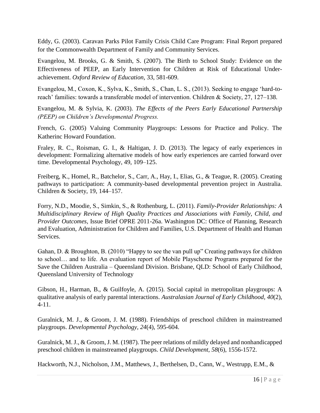Eddy, G. (2003). Caravan Parks Pilot Family Crisis Child Care Program: Final Report prepared for the Commonwealth Department of Family and Community Services.

Evangelou, M. Brooks, G. & Smith, S. (2007). The Birth to School Study: Evidence on the Effectiveness of PEEP, an Early Intervention for Children at Risk of Educational Underachievement. *Oxford Review of Education,* 33, 581-609.

Evangelou, M., Coxon, K., Sylva, K., Smith, S., Chan, L. S., (2013). Seeking to engage 'hard-toreach' families: towards a transferable model of intervention. Children & Society, 27, 127–138.

Evangelou, M. & Sylvia, K. (2003). *The Effects of the Peers Early Educational Partnership (PEEP) on Children's Developmental Progress.*

French, G. (2005) Valuing Community Playgroups: Lessons for Practice and Policy. The Katherinc Howard Foundation.

Fraley, R. C., Roisman, G. I., & Haltigan, J. D. (2013). The legacy of early experiences in development: Formalizing alternative models of how early experiences are carried forward over time. Developmental Psychology, 49, 109–125.

Freiberg, K., Homel, R., Batchelor, S., Carr, A., Hay, I., Elias, G., & Teague, R. (2005). Creating pathways to participation: A community-based developmental prevention project in Australia. Children & Society, 19, 144–157.

Forry, N.D., Moodie, S., Simkin, S., & Rothenburg, L. (2011). *Family-Provider Relationships: A Multidisciplinary Review of High Quality Practices and Associations with Family, Child, and Provider Outcomes,* Issue Brief OPRE 2011-26a. Washington DC: Office of Planning, Research and Evaluation, Administration for Children and Families, U.S. Department of Health and Human Services.

Gahan, D. & Broughton, B. (2010) "Happy to see the van pull up" Creating pathways for children to school… and to life. An evaluation report of Mobile Playscheme Programs prepared for the Save the Children Australia – Queensland Division. Brisbane, QLD: School of Early Childhood, Queensland University of Technology

Gibson, H., Harman, B., & Guilfoyle, A. (2015). Social capital in metropolitan playgroups: A qualitative analysis of early parental interactions. *Australasian Journal of Early Childhood, 40*(2), 4-11.

Guralnick, M. J., & Groom, J. M. (1988). Friendships of preschool children in mainstreamed playgroups. *Developmental Psychology, 24*(4), 595-604.

Guralnick, M. J., & Groom, J. M. (1987). The peer relations of mildly delayed and nonhandicapped preschool children in mainstreamed playgroups. *Child Development, 58*(6), 1556-1572.

Hackworth, N.J., Nicholson, J.M., Matthews, J., Berthelsen, D., Cann, W., Westrupp, E.M., &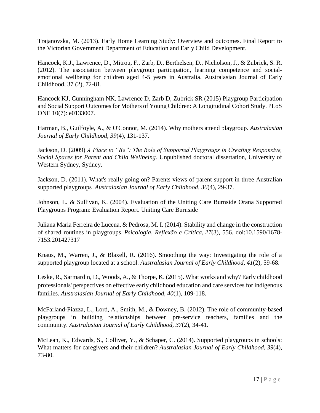Trajanovska, M. (2013). Early Home Learning Study: Overview and outcomes. Final Report to the Victorian Government Department of Education and Early Child Development.

Hancock, K.J., Lawrence, D., Mitrou, F., Zarb, D., Berthelsen, D., Nicholson, J., & Zubrick, S. R. (2012). The association between playgroup participation, learning competence and socialemotional wellbeing for children aged 4-5 years in Australia. Australasian Journal of Early Childhood, 37 (2), 72-81.

Hancock KJ, Cunningham NK, Lawrence D, Zarb D, Zubrick SR (2015) Playgroup Participation and Social Support Outcomes for Mothers of Young Children: A Longitudinal Cohort Study. PLoS ONE 10(7): e0133007.

Harman, B., Guilfoyle, A., & O'Connor, M. (2014). Why mothers attend playgroup. *Australasian Journal of Early Childhood, 39*(4), 131-137.

Jackson, D. (2009) *A Place to "Be": The Role of Supported Playgroups in Creating Responsive, Social Spaces for Parent and Child Wellbeing.* Unpublished doctoral dissertation, University of Western Sydney, Sydney.

Jackson, D. (2011). What's really going on? Parents views of parent support in three Australian supported playgroups .*Australasian Journal of Early Childhood, 36*(4), 29-37.

Johnson, L. & Sullivan, K. (2004). Evaluation of the Uniting Care Burnside Orana Supported Playgroups Program: Evaluation Report. Uniting Care Burnside

Juliana Maria Ferreira de Lucena, & Pedrosa, M. I. (2014). Stability and change in the construction of shared routines in playgroups. *Psicologia, Reflexão e Crítica, 27*(3), 556. doi:10.1590/1678- 7153.201427317

Knaus, M., Warren, J., & Blaxell, R. (2016). Smoothing the way: Investigating the role of a supported playgroup located at a school. *Australasian Journal of Early Childhood, 41*(2), 59-68.

Leske, R., Sarmardin, D., Woods, A., & Thorpe, K. (2015). What works and why? Early childhood professionals' perspectives on effective early childhood education and care services for indigenous families. *Australasian Journal of Early Childhood, 40*(1), 109-118.

McFarland-Piazza, L., Lord, A., Smith, M., & Downey, B. (2012). The role of community-based playgroups in building relationships between pre-service teachers, families and the community. *Australasian Journal of Early Childhood, 37*(2), 34-41.

McLean, K., Edwards, S., Colliver, Y., & Schaper, C. (2014). Supported playgroups in schools: What matters for caregivers and their children? *Australasian Journal of Early Childhood, 39*(4), 73-80.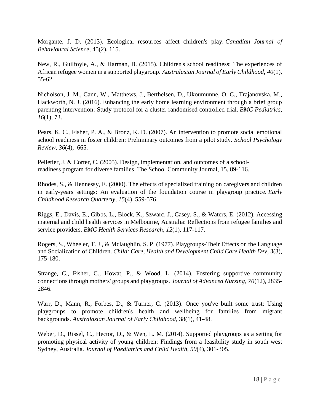Morgante, J. D. (2013). Ecological resources affect children's play. *Canadian Journal of Behavioural Science,* 45(2), 115.

New, R., Guilfoyle, A., & Harman, B. (2015). Children's school readiness: The experiences of African refugee women in a supported playgroup. *Australasian Journal of Early Childhood, 40*(1), 55-62.

Nicholson, J. M., Cann, W., Matthews, J., Berthelsen, D., Ukoumunne, O. C., Trajanovska, M., Hackworth, N. J. (2016). Enhancing the early home learning environment through a brief group parenting intervention: Study protocol for a cluster randomised controlled trial. *BMC Pediatrics, 16*(1), 73.

Pears, K. C., Fisher, P. A., & Bronz, K. D. (2007). An intervention to promote social emotional school readiness in foster children: Preliminary outcomes from a pilot study. *School Psychology Review, 36*(4), 665.

Pelletier, J. & Corter, C. (2005). Design, implementation, and outcomes of a schoolreadiness program for diverse families. The School Community Journal, 15, 89-116.

Rhodes, S., & Hennessy, E. (2000). The effects of specialized training on caregivers and children in early-years settings: An evaluation of the foundation course in playgroup practice. *Early Childhood Research Quarterly, 15*(4), 559-576.

Riggs, E., Davis, E., Gibbs, L., Block, K., Szwarc, J., Casey, S., & Waters, E. (2012). Accessing maternal and child health services in Melbourne, Australia: Reflections from refugee families and service providers. *BMC Health Services Research, 12*(1), 117-117.

Rogers, S., Wheeler, T. J., & Mclaughlin, S. P. (1977). Playgroups-Their Effects on the Language and Socialization of Children. *Child: Care, Health and Development Child Care Health Dev, 3*(3), 175-180.

Strange, C., Fisher, C., Howat, P., & Wood, L. (2014). Fostering supportive community connections through mothers' groups and playgroups. *Journal of Advanced Nursing, 70*(12), 2835- 2846.

Warr, D., Mann, R., Forbes, D., & Turner, C. (2013). Once you've built some trust: Using playgroups to promote children's health and wellbeing for families from migrant backgrounds. *Australasian Journal of Early Childhood,* 38(1), 41-48.

Weber, D., Rissel, C., Hector, D., & Wen, L. M. (2014). Supported playgroups as a setting for promoting physical activity of young children: Findings from a feasibility study in south‐west Sydney, Australia. *Journal of Paediatrics and Child Health, 50*(4), 301-305.